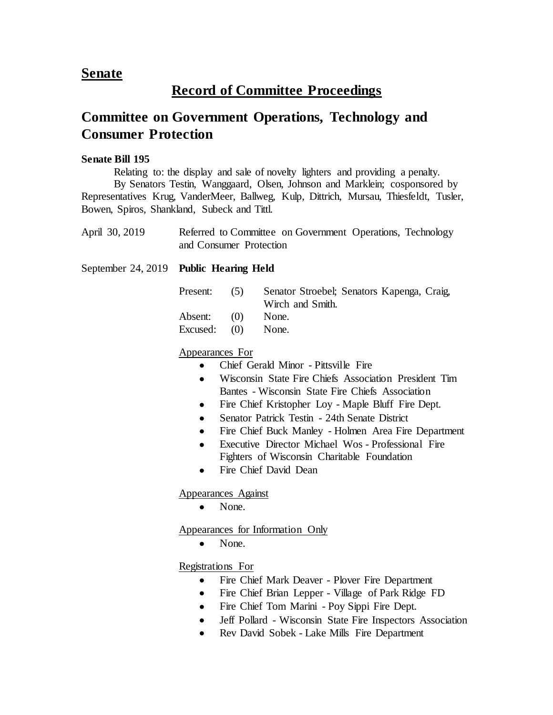## **Senate**

# **Record of Committee Proceedings**

# **Committee on Government Operations, Technology and Consumer Protection**

#### **Senate Bill 195**

Relating to: the display and sale of novelty lighters and providing a penalty.

By Senators Testin, Wanggaard, Olsen, Johnson and Marklein; cosponsored by Representatives Krug, VanderMeer, Ballweg, Kulp, Dittrich, Mursau, Thiesfeldt, Tusler, Bowen, Spiros, Shankland, Subeck and Tittl.

| April 30, 2019 | Referred to Committee on Government Operations, Technology |  |  |
|----------------|------------------------------------------------------------|--|--|
|                | and Consumer Protection                                    |  |  |

September 24, 2019 **Public Hearing Held**

| Present:       | (5) | Senator Stroebel; Senators Kapenga, Craig, |
|----------------|-----|--------------------------------------------|
|                |     | Wirch and Smith.                           |
| Absent: $(0)$  |     | None.                                      |
| Excused: $(0)$ |     | None.                                      |

#### Appearances For

- Chief Gerald Minor Pittsville Fire
- Wisconsin State Fire Chiefs Association President Tim Bantes - Wisconsin State Fire Chiefs Association
- Fire Chief Kristopher Loy Maple Bluff Fire Dept.
- Senator Patrick Testin 24th Senate District
- Fire Chief Buck Manley Holmen Area Fire Department
- Executive Director Michael Wos Professional Fire Fighters of Wisconsin Charitable Foundation
- Fire Chief David Dean

Appearances Against

• None.

Appearances for Information Only

None.

Registrations For

- Fire Chief Mark Deaver Plover Fire Department
- Fire Chief Brian Lepper Village of Park Ridge FD
- Fire Chief Tom Marini Poy Sippi Fire Dept.
- Jeff Pollard Wisconsin State Fire Inspectors Association
- Rev David Sobek Lake Mills Fire Department